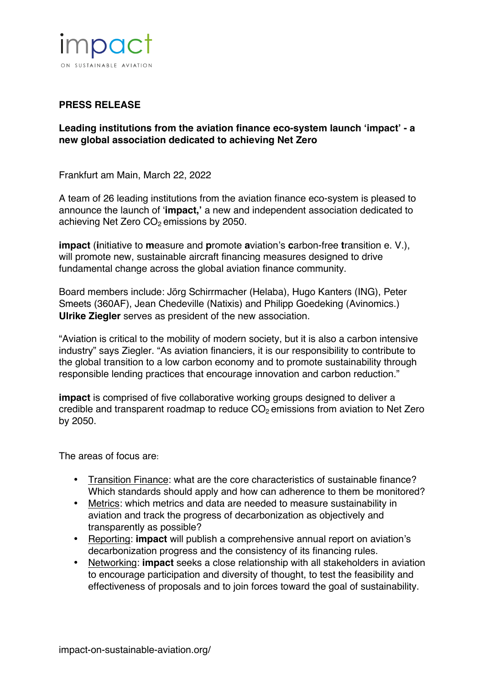

## **PRESS RELEASE**

## **Leading institutions from the aviation finance eco-system launch 'impact' - a new global association dedicated to achieving Net Zero**

Frankfurt am Main, March 22, 2022

A team of 26 leading institutions from the aviation finance eco-system is pleased to announce the launch of '**[impact,'](https://impact-on-sustainable-aviation.org)** a new and independent association dedicated to achieving Net Zero  $CO<sub>2</sub>$  emissions by 2050.

**[impact](https://impact-on-sustainable-aviation.org)** (**i**nitiative to **m**easure and **p**romote **a**viation's **c**arbon-free **t**ransition e. V.), will promote new, sustainable aircraft financing measures designed to drive fundamental change across the global aviation finance community.

Board members include: Jörg Schirrmacher (Helaba), Hugo Kanters (ING), Peter Smeets (360AF), Jean Chedeville (Natixis) and Philipp Goedeking (Avinomics.) **Ulrike Ziegler** serves as president of the new association.

"Aviation is critical to the mobility of modern society, but it is also a carbon intensive industry" says Ziegler. "As aviation financiers, it is our responsibility to contribute to the global transition to a low carbon economy and to promote sustainability through responsible lending practices that encourage innovation and carbon reduction."

**impact** is comprised of five collaborative working groups designed to deliver a credible and transparent roadmap to reduce  $CO<sub>2</sub>$  emissions from aviation to Net Zero by 2050.

The areas of focus are: 

- Transition Finance: what are the core characteristics of sustainable finance? Which standards should apply and how can adherence to them be monitored?
- Metrics: which metrics and data are needed to measure sustainability in aviation and track the progress of decarbonization as objectively and transparently as possible?
- Reporting: **impact** will publish a comprehensive annual report on aviation's decarbonization progress and the consistency of its financing rules.
- Networking: **impact** seeks a close relationship with all stakeholders in aviation to encourage participation and diversity of thought, to test the feasibility and effectiveness of proposals and to join forces toward the goal of sustainability.